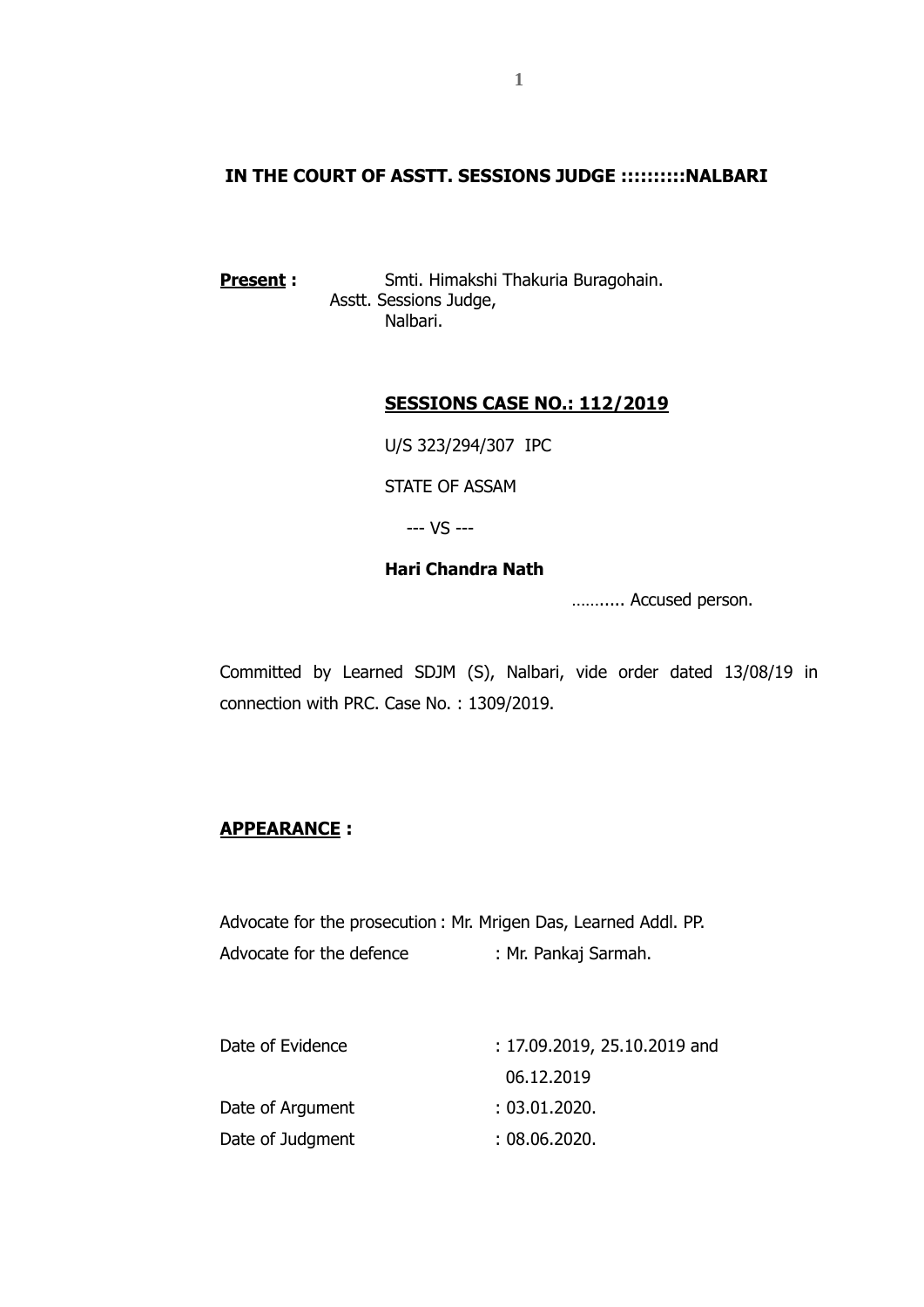#### **IN THE COURT OF ASSTT. SESSIONS JUDGE ::::::::::NALBARI**

**Present:** Smti. Himakshi Thakuria Buragohain. Asstt. Sessions Judge, Nalbari.

### **SESSIONS CASE NO.: 112/2019**

U/S 323/294/307 IPC

STATE OF ASSAM

--- VS ---

#### **Hari Chandra Nath**

……..... Accused person.

Committed by Learned SDJM (S), Nalbari, vide order dated 13/08/19 in connection with PRC. Case No. : 1309/2019.

### **APPEARANCE :**

Advocate for the prosecution : Mr. Mrigen Das, Learned Addl. PP. Advocate for the defence : Mr. Pankaj Sarmah.

| $: 17.09.2019, 25.10.2019$ and |
|--------------------------------|
| 06.12.2019                     |
| :03.01.2020.                   |
| :08.06.2020.                   |
|                                |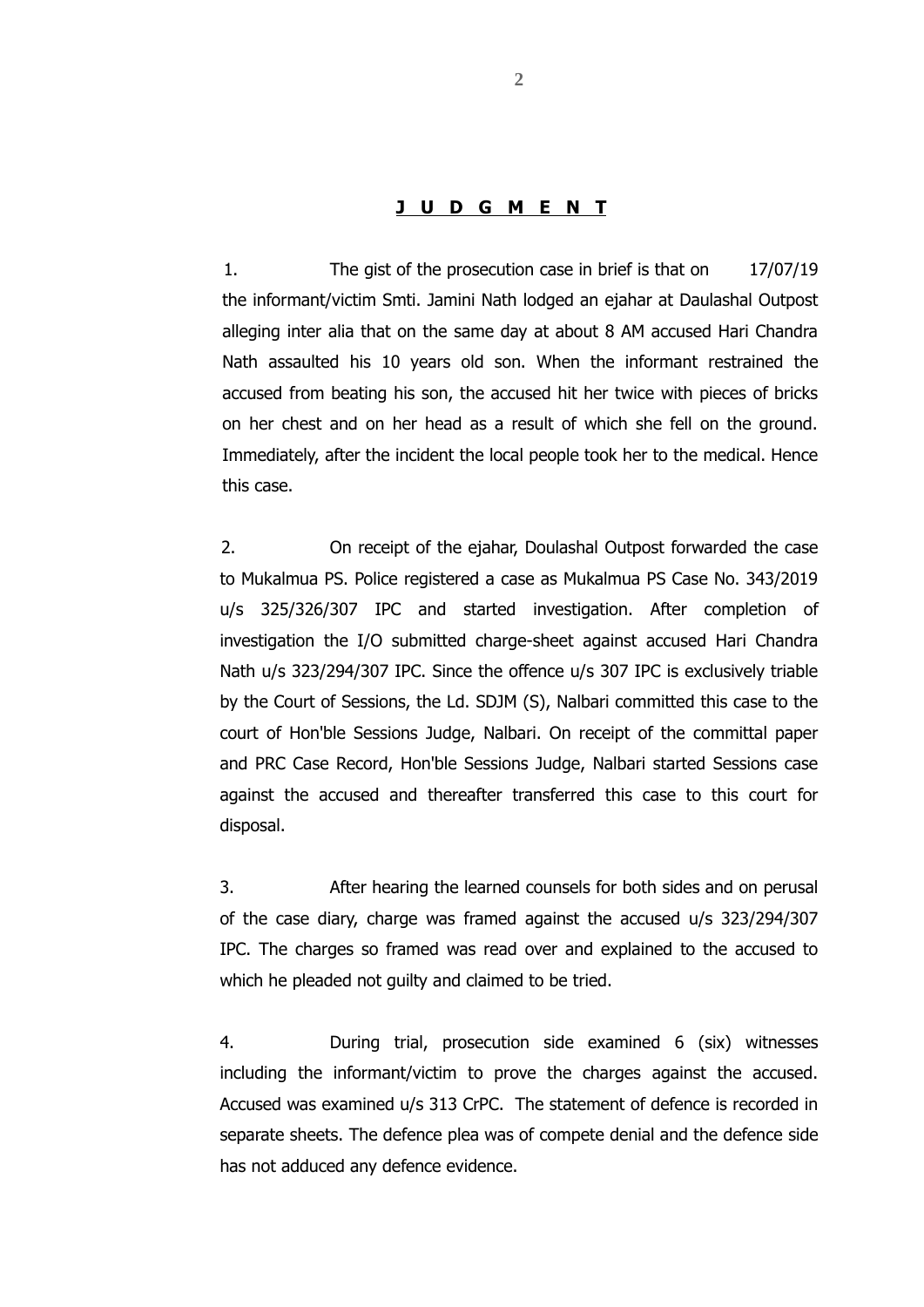#### **J U D G M E N T**

1. The gist of the prosecution case in brief is that on 17/07/19 the informant/victim Smti. Jamini Nath lodged an ejahar at Daulashal Outpost alleging inter alia that on the same day at about 8 AM accused Hari Chandra Nath assaulted his 10 years old son. When the informant restrained the accused from beating his son, the accused hit her twice with pieces of bricks on her chest and on her head as a result of which she fell on the ground. Immediately, after the incident the local people took her to the medical. Hence this case.

2. On receipt of the ejahar, Doulashal Outpost forwarded the case to Mukalmua PS. Police registered a case as Mukalmua PS Case No. 343/2019 u/s 325/326/307 IPC and started investigation. After completion of investigation the I/O submitted charge-sheet against accused Hari Chandra Nath u/s 323/294/307 IPC. Since the offence u/s 307 IPC is exclusively triable by the Court of Sessions, the Ld. SDJM (S), Nalbari committed this case to the court of Hon'ble Sessions Judge, Nalbari. On receipt of the committal paper and PRC Case Record, Hon'ble Sessions Judge, Nalbari started Sessions case against the accused and thereafter transferred this case to this court for disposal.

3. After hearing the learned counsels for both sides and on perusal of the case diary, charge was framed against the accused u/s 323/294/307 IPC. The charges so framed was read over and explained to the accused to which he pleaded not guilty and claimed to be tried.

4. During trial, prosecution side examined 6 (six) witnesses including the informant/victim to prove the charges against the accused. Accused was examined u/s 313 CrPC. The statement of defence is recorded in separate sheets. The defence plea was of compete denial and the defence side has not adduced any defence evidence.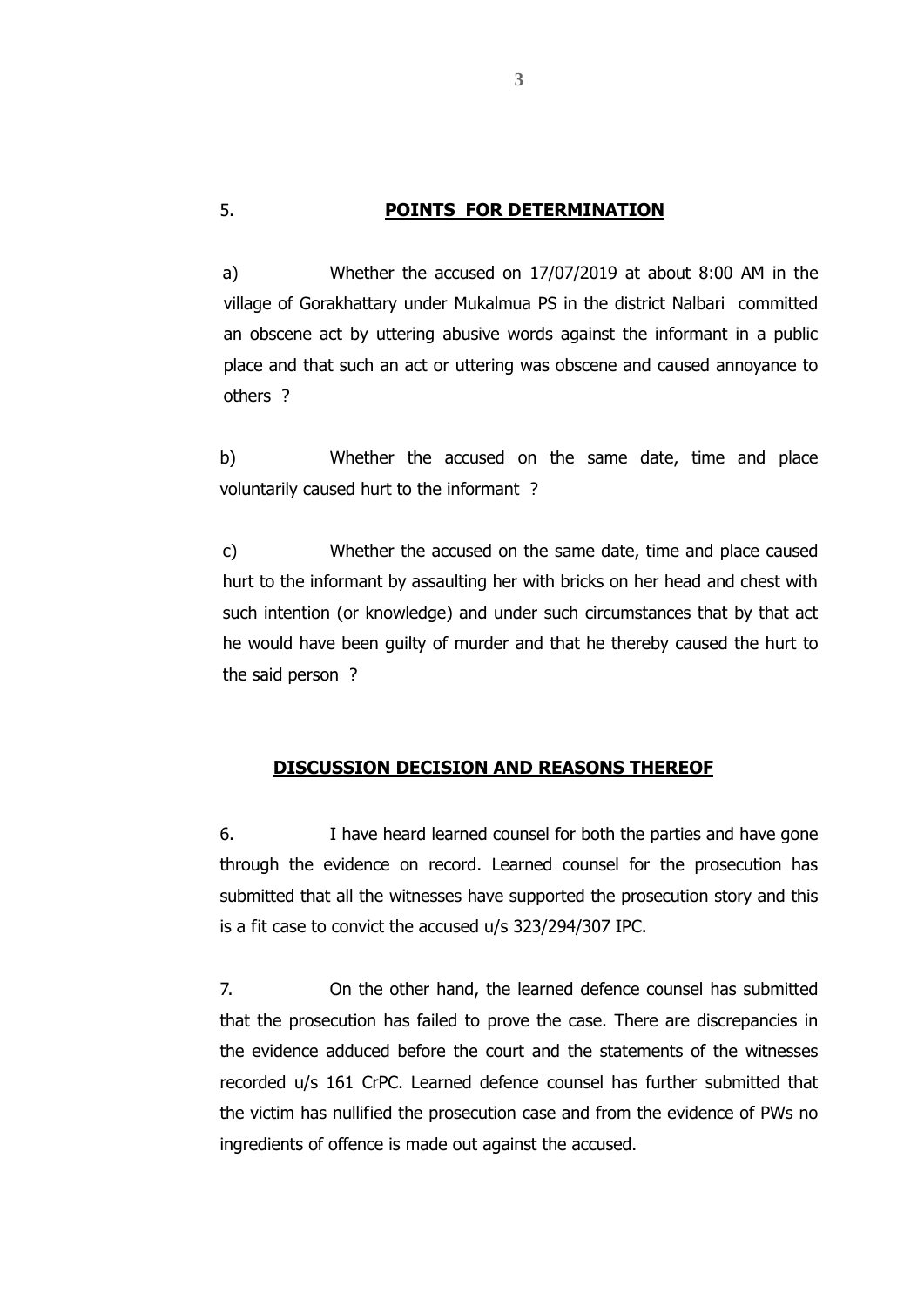#### 5. **POINTS FOR DETERMINATION**

a) Whether the accused on 17/07/2019 at about 8:00 AM in the village of Gorakhattary under Mukalmua PS in the district Nalbari committed an obscene act by uttering abusive words against the informant in a public place and that such an act or uttering was obscene and caused annoyance to others ?

b) Whether the accused on the same date, time and place voluntarily caused hurt to the informant ?

c) Whether the accused on the same date, time and place caused hurt to the informant by assaulting her with bricks on her head and chest with such intention (or knowledge) and under such circumstances that by that act he would have been guilty of murder and that he thereby caused the hurt to the said person ?

#### **DISCUSSION DECISION AND REASONS THEREOF**

6. I have heard learned counsel for both the parties and have gone through the evidence on record. Learned counsel for the prosecution has submitted that all the witnesses have supported the prosecution story and this is a fit case to convict the accused u/s 323/294/307 IPC.

7. On the other hand, the learned defence counsel has submitted that the prosecution has failed to prove the case. There are discrepancies in the evidence adduced before the court and the statements of the witnesses recorded u/s 161 CrPC. Learned defence counsel has further submitted that the victim has nullified the prosecution case and from the evidence of PWs no ingredients of offence is made out against the accused.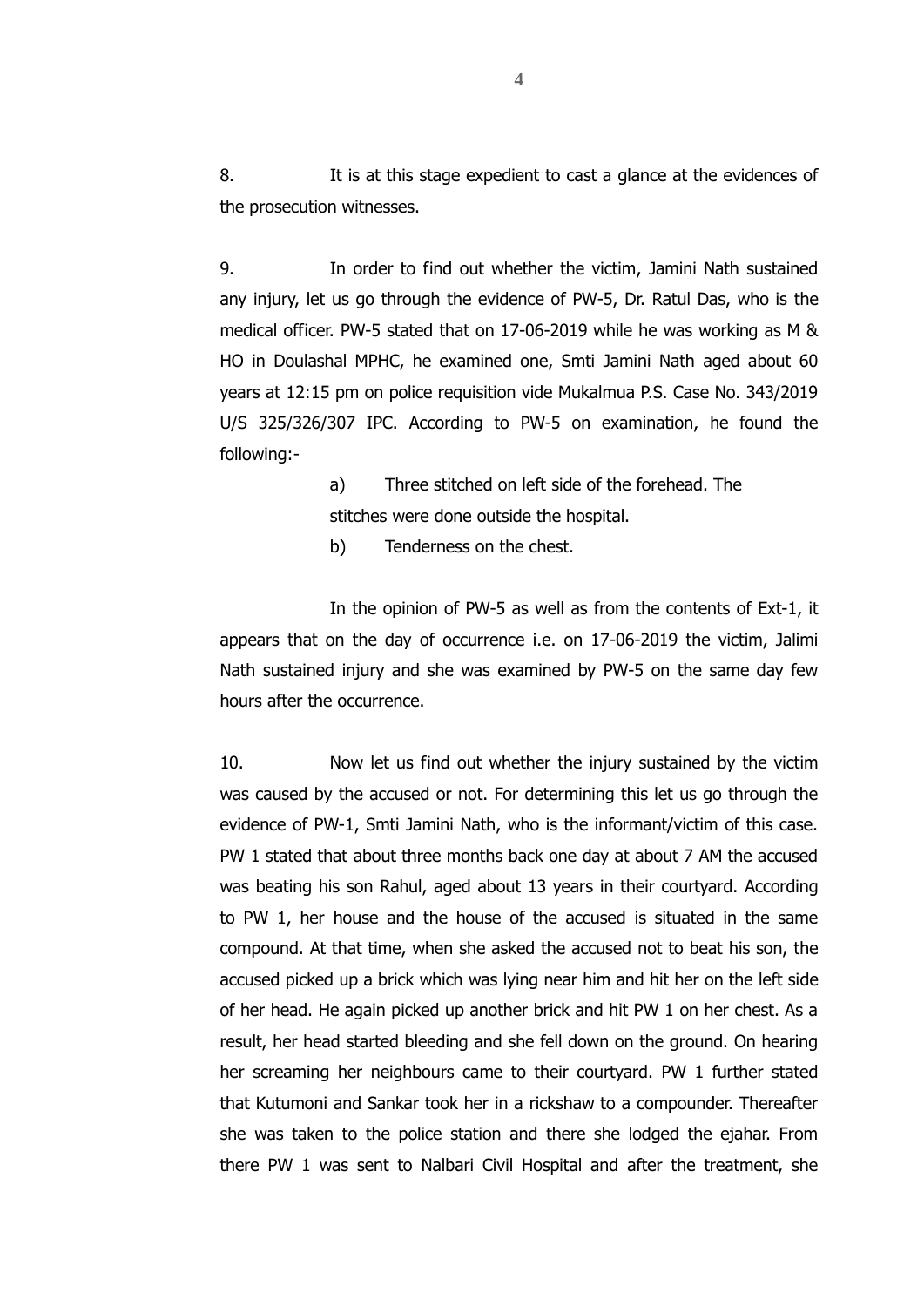8. It is at this stage expedient to cast a glance at the evidences of the prosecution witnesses.

9. In order to find out whether the victim, Jamini Nath sustained any injury, let us go through the evidence of PW-5, Dr. Ratul Das, who is the medical officer. PW-5 stated that on 17-06-2019 while he was working as M & HO in Doulashal MPHC, he examined one, Smti Jamini Nath aged about 60 years at 12:15 pm on police requisition vide Mukalmua P.S. Case No. 343/2019 U/S 325/326/307 IPC. According to PW-5 on examination, he found the following:-

> a) Three stitched on left side of the forehead. The stitches were done outside the hospital.

b) Tenderness on the chest.

In the opinion of PW-5 as well as from the contents of Ext-1, it appears that on the day of occurrence i.e. on 17-06-2019 the victim, Jalimi Nath sustained injury and she was examined by PW-5 on the same day few hours after the occurrence.

10. Now let us find out whether the injury sustained by the victim was caused by the accused or not. For determining this let us go through the evidence of PW-1, Smti Jamini Nath, who is the informant/victim of this case. PW 1 stated that about three months back one day at about 7 AM the accused was beating his son Rahul, aged about 13 years in their courtyard. According to PW 1, her house and the house of the accused is situated in the same compound. At that time, when she asked the accused not to beat his son, the accused picked up a brick which was lying near him and hit her on the left side of her head. He again picked up another brick and hit PW 1 on her chest. As a result, her head started bleeding and she fell down on the ground. On hearing her screaming her neighbours came to their courtyard. PW 1 further stated that Kutumoni and Sankar took her in a rickshaw to a compounder. Thereafter she was taken to the police station and there she lodged the ejahar. From there PW 1 was sent to Nalbari Civil Hospital and after the treatment, she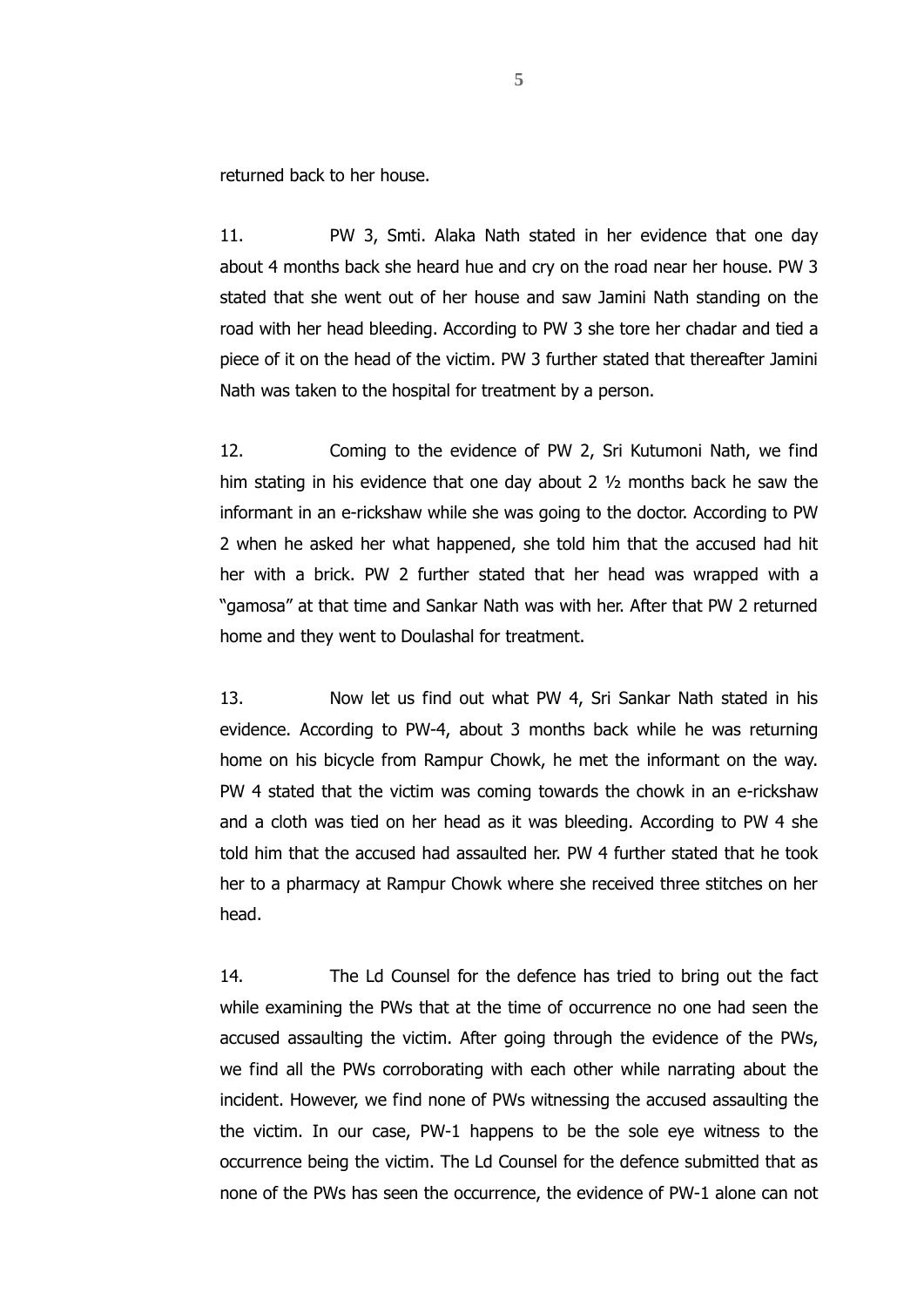returned back to her house.

11. PW 3, Smti. Alaka Nath stated in her evidence that one day about 4 months back she heard hue and cry on the road near her house. PW 3 stated that she went out of her house and saw Jamini Nath standing on the road with her head bleeding. According to PW 3 she tore her chadar and tied a piece of it on the head of the victim. PW 3 further stated that thereafter Jamini Nath was taken to the hospital for treatment by a person.

12. Coming to the evidence of PW 2, Sri Kutumoni Nath, we find him stating in his evidence that one day about 2 ½ months back he saw the informant in an e-rickshaw while she was going to the doctor. According to PW 2 when he asked her what happened, she told him that the accused had hit her with a brick. PW 2 further stated that her head was wrapped with a "gamosa" at that time and Sankar Nath was with her. After that PW 2 returned home and they went to Doulashal for treatment.

13. Now let us find out what PW 4, Sri Sankar Nath stated in his evidence. According to PW-4, about 3 months back while he was returning home on his bicycle from Rampur Chowk, he met the informant on the way. PW 4 stated that the victim was coming towards the chowk in an e-rickshaw and a cloth was tied on her head as it was bleeding. According to PW 4 she told him that the accused had assaulted her. PW 4 further stated that he took her to a pharmacy at Rampur Chowk where she received three stitches on her head.

14. The Ld Counsel for the defence has tried to bring out the fact while examining the PWs that at the time of occurrence no one had seen the accused assaulting the victim. After going through the evidence of the PWs, we find all the PWs corroborating with each other while narrating about the incident. However, we find none of PWs witnessing the accused assaulting the the victim. In our case, PW-1 happens to be the sole eye witness to the occurrence being the victim. The Ld Counsel for the defence submitted that as none of the PWs has seen the occurrence, the evidence of PW-1 alone can not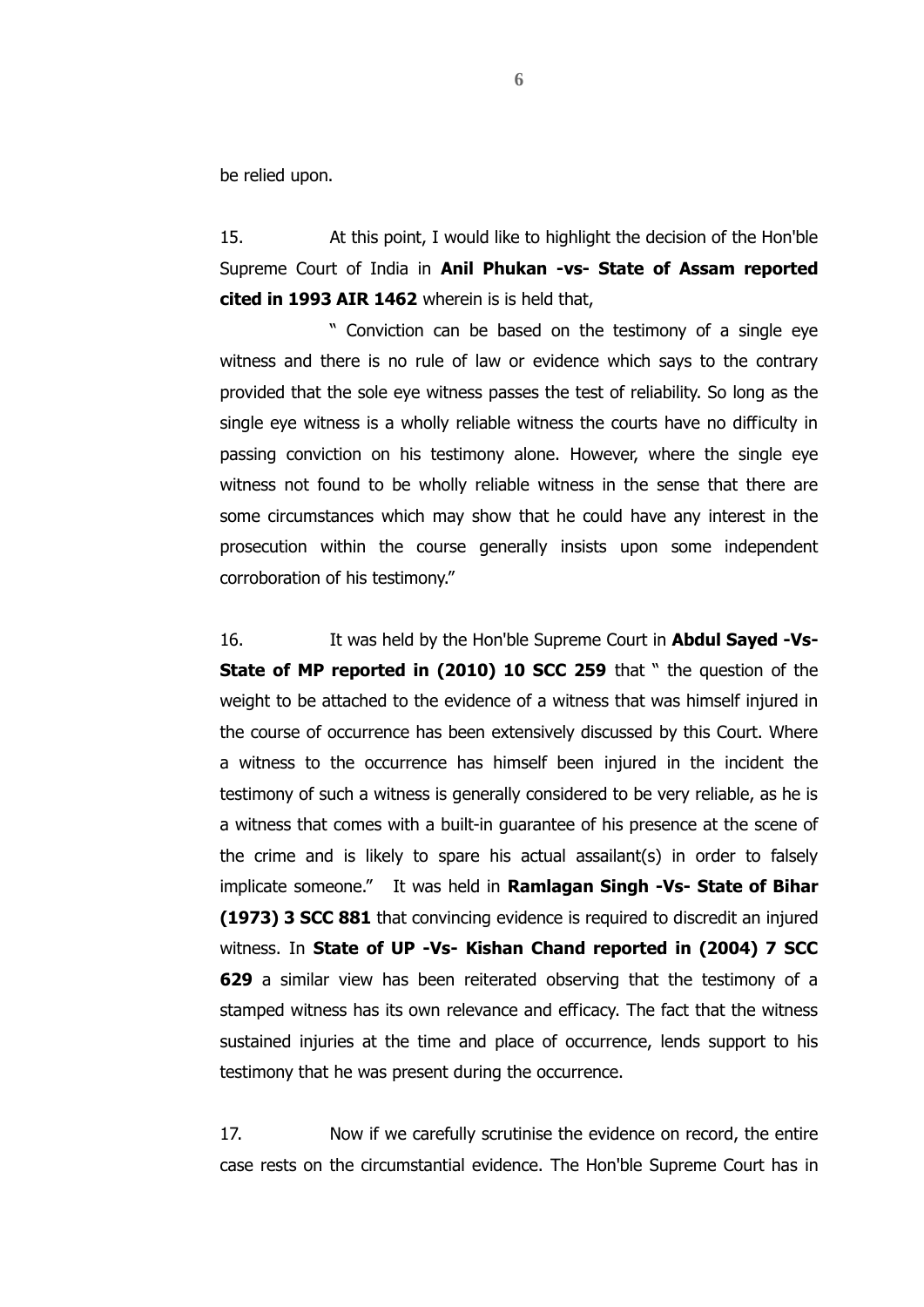be relied upon.

15. At this point, I would like to highlight the decision of the Hon'ble Supreme Court of India in **Anil Phukan -vs- State of Assam reported cited in 1993 AIR 1462** wherein is is held that,

" Conviction can be based on the testimony of a single eye witness and there is no rule of law or evidence which says to the contrary provided that the sole eye witness passes the test of reliability. So long as the single eye witness is a wholly reliable witness the courts have no difficulty in passing conviction on his testimony alone. However, where the single eye witness not found to be wholly reliable witness in the sense that there are some circumstances which may show that he could have any interest in the prosecution within the course generally insists upon some independent corroboration of his testimony."

16. It was held by the Hon'ble Supreme Court in **Abdul Sayed -Vs-State of MP reported in (2010) 10 SCC 259** that " the question of the weight to be attached to the evidence of a witness that was himself injured in the course of occurrence has been extensively discussed by this Court. Where a witness to the occurrence has himself been injured in the incident the testimony of such a witness is generally considered to be very reliable, as he is a witness that comes with a built-in guarantee of his presence at the scene of the crime and is likely to spare his actual assailant(s) in order to falsely implicate someone." It was held in **Ramlagan Singh -Vs- State of Bihar (1973) 3 SCC 881** that convincing evidence is required to discredit an injured witness. In **State of UP -Vs- Kishan Chand reported in (2004) 7 SCC 629** a similar view has been reiterated observing that the testimony of a stamped witness has its own relevance and efficacy. The fact that the witness sustained injuries at the time and place of occurrence, lends support to his testimony that he was present during the occurrence.

17. Now if we carefully scrutinise the evidence on record, the entire case rests on the circumstantial evidence. The Hon'ble Supreme Court has in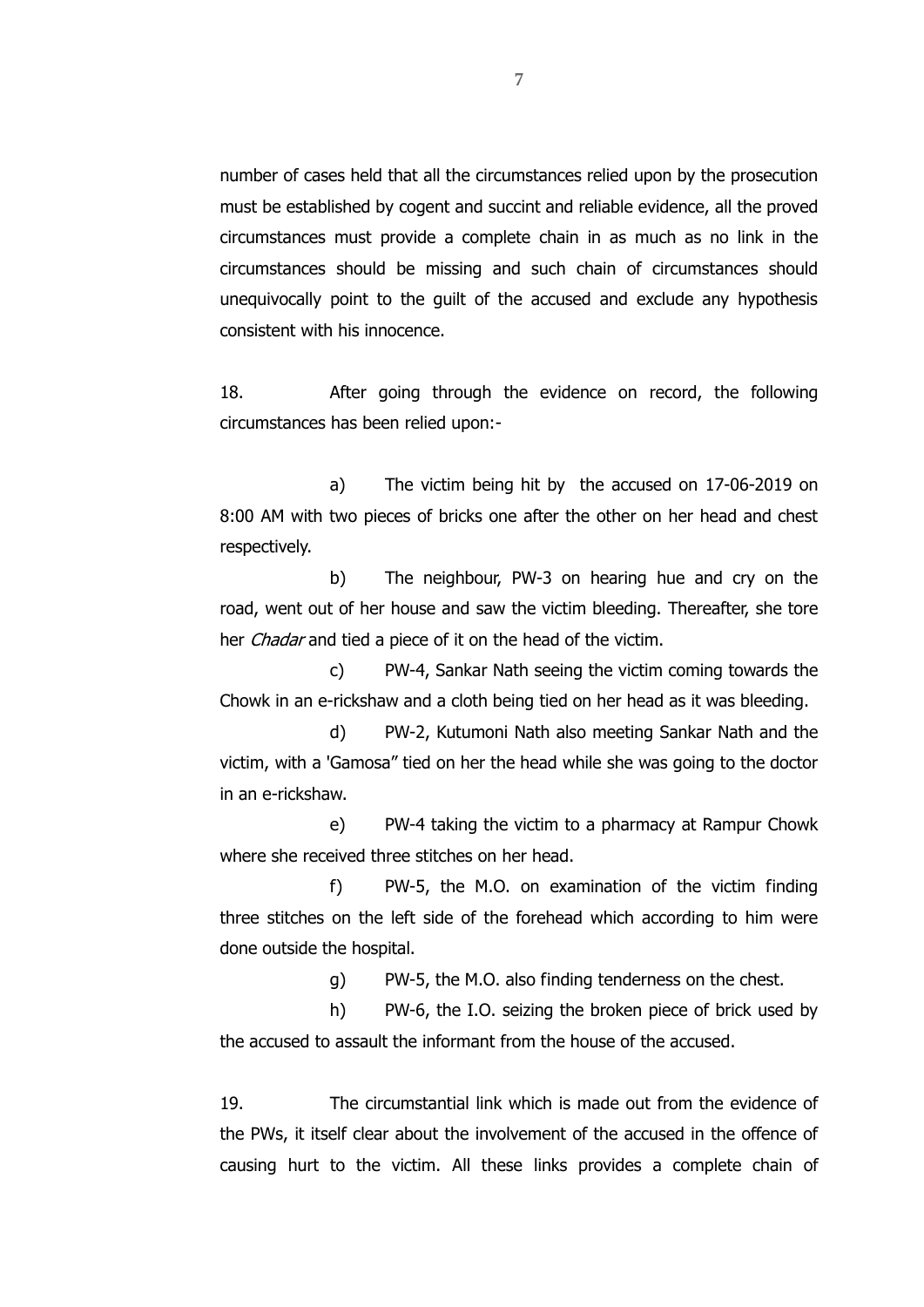number of cases held that all the circumstances relied upon by the prosecution must be established by cogent and succint and reliable evidence, all the proved circumstances must provide a complete chain in as much as no link in the circumstances should be missing and such chain of circumstances should unequivocally point to the guilt of the accused and exclude any hypothesis consistent with his innocence.

18. After going through the evidence on record, the following circumstances has been relied upon:-

a) The victim being hit by the accused on 17-06-2019 on 8:00 AM with two pieces of bricks one after the other on her head and chest respectively.

b) The neighbour, PW-3 on hearing hue and cry on the road, went out of her house and saw the victim bleeding. Thereafter, she tore her *Chadar* and tied a piece of it on the head of the victim.

c) PW-4, Sankar Nath seeing the victim coming towards the Chowk in an e-rickshaw and a cloth being tied on her head as it was bleeding.

d) PW-2, Kutumoni Nath also meeting Sankar Nath and the victim, with a 'Gamosa" tied on her the head while she was going to the doctor in an e-rickshaw.

e) PW-4 taking the victim to a pharmacy at Rampur Chowk where she received three stitches on her head.

f) PW-5, the M.O. on examination of the victim finding three stitches on the left side of the forehead which according to him were done outside the hospital.

g) PW-5, the M.O. also finding tenderness on the chest.

h) PW-6, the I.O. seizing the broken piece of brick used by the accused to assault the informant from the house of the accused.

19. The circumstantial link which is made out from the evidence of the PWs, it itself clear about the involvement of the accused in the offence of causing hurt to the victim. All these links provides a complete chain of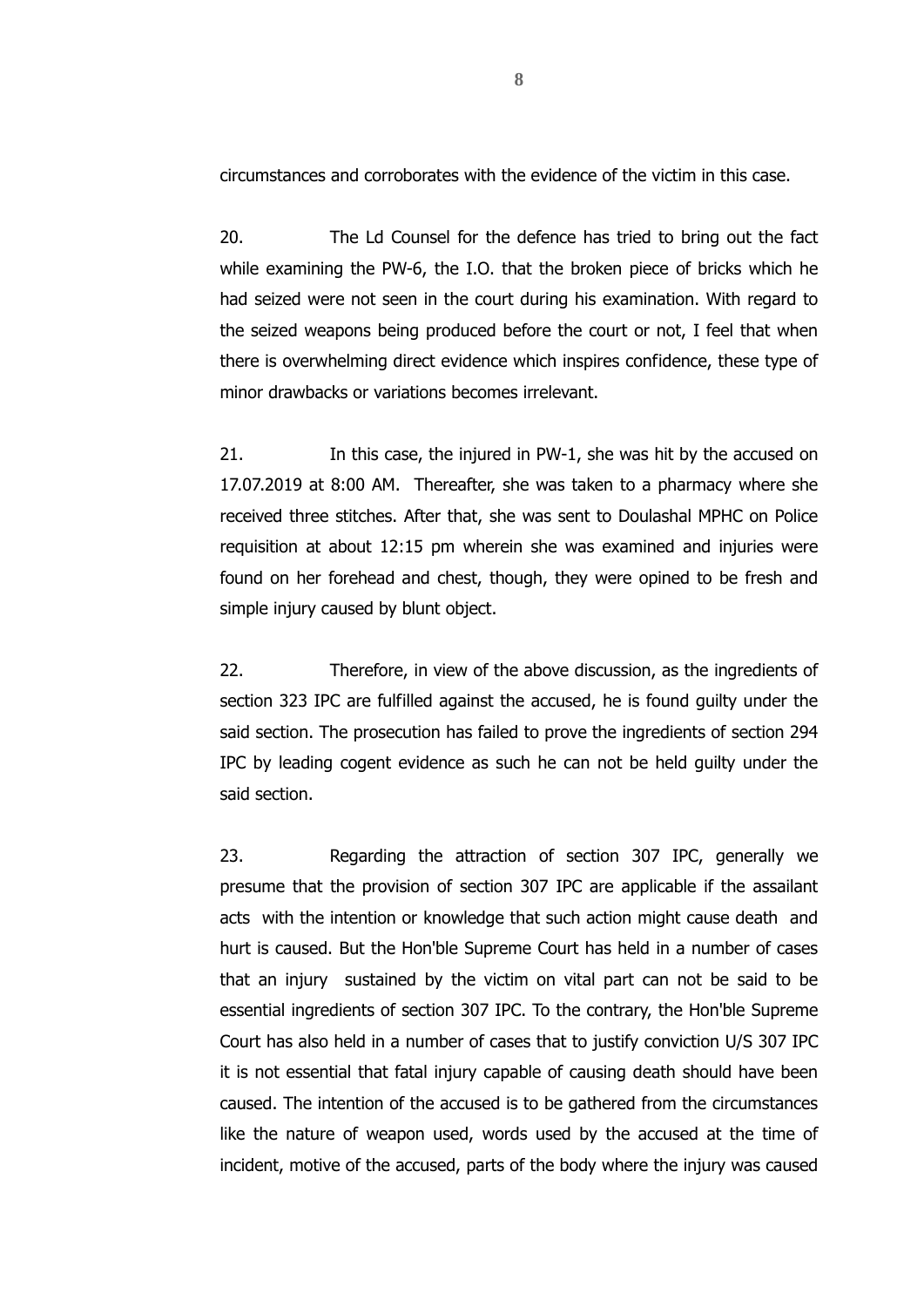circumstances and corroborates with the evidence of the victim in this case.

20. The Ld Counsel for the defence has tried to bring out the fact while examining the PW-6, the I.O. that the broken piece of bricks which he had seized were not seen in the court during his examination. With regard to the seized weapons being produced before the court or not, I feel that when there is overwhelming direct evidence which inspires confidence, these type of minor drawbacks or variations becomes irrelevant.

21. In this case, the injured in PW-1, she was hit by the accused on 17.07.2019 at 8:00 AM. Thereafter, she was taken to a pharmacy where she received three stitches. After that, she was sent to Doulashal MPHC on Police requisition at about 12:15 pm wherein she was examined and injuries were found on her forehead and chest, though, they were opined to be fresh and simple injury caused by blunt object.

22. Therefore, in view of the above discussion, as the ingredients of section 323 IPC are fulfilled against the accused, he is found guilty under the said section. The prosecution has failed to prove the ingredients of section 294 IPC by leading cogent evidence as such he can not be held guilty under the said section.

23. Regarding the attraction of section 307 IPC, generally we presume that the provision of section 307 IPC are applicable if the assailant acts with the intention or knowledge that such action might cause death and hurt is caused. But the Hon'ble Supreme Court has held in a number of cases that an injury sustained by the victim on vital part can not be said to be essential ingredients of section 307 IPC. To the contrary, the Hon'ble Supreme Court has also held in a number of cases that to justify conviction U/S 307 IPC it is not essential that fatal injury capable of causing death should have been caused. The intention of the accused is to be gathered from the circumstances like the nature of weapon used, words used by the accused at the time of incident, motive of the accused, parts of the body where the injury was caused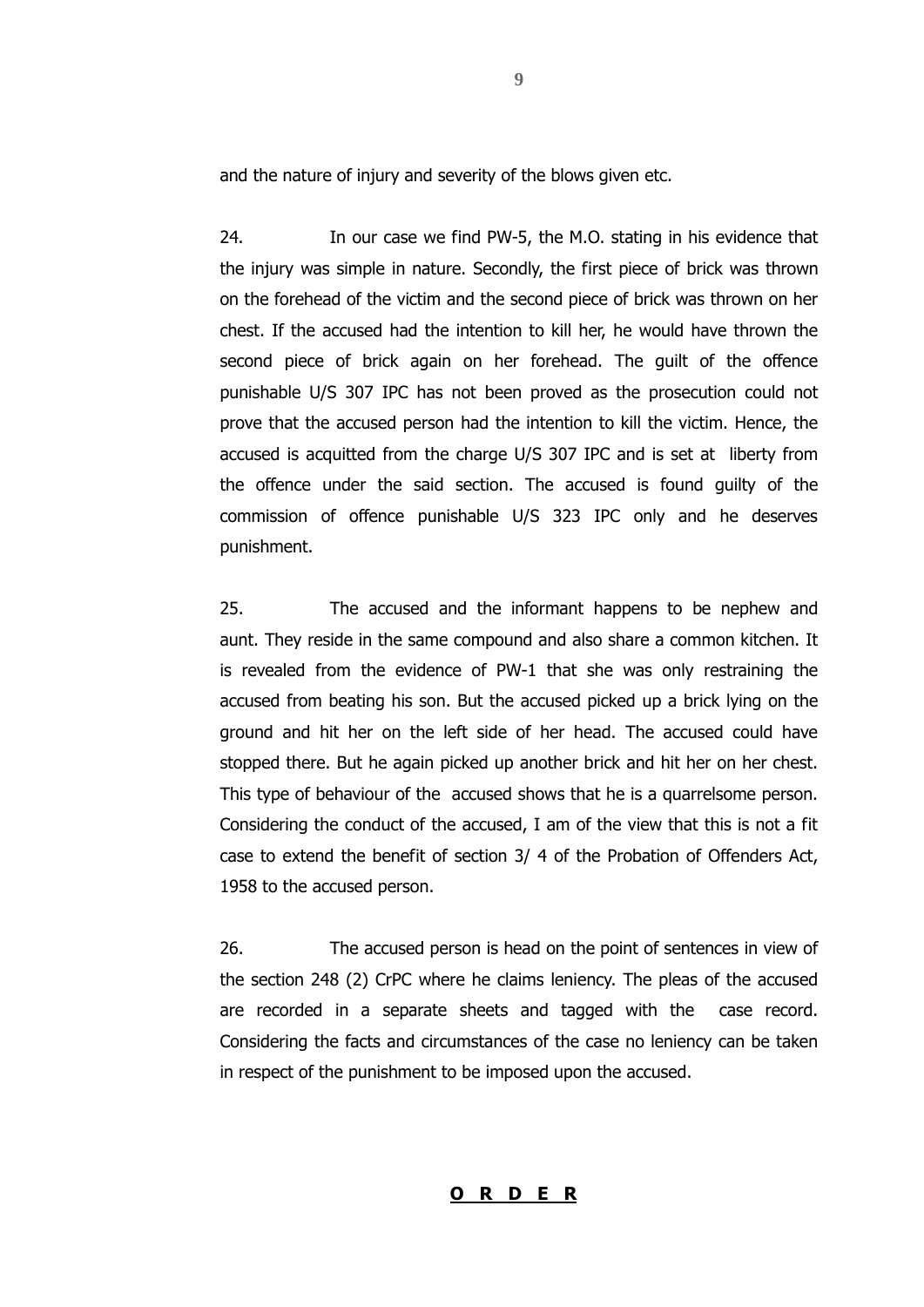and the nature of injury and severity of the blows given etc.

24. In our case we find PW-5, the M.O. stating in his evidence that the injury was simple in nature. Secondly, the first piece of brick was thrown on the forehead of the victim and the second piece of brick was thrown on her chest. If the accused had the intention to kill her, he would have thrown the second piece of brick again on her forehead. The guilt of the offence punishable U/S 307 IPC has not been proved as the prosecution could not prove that the accused person had the intention to kill the victim. Hence, the accused is acquitted from the charge U/S 307 IPC and is set at liberty from the offence under the said section. The accused is found guilty of the commission of offence punishable U/S 323 IPC only and he deserves punishment.

25. The accused and the informant happens to be nephew and aunt. They reside in the same compound and also share a common kitchen. It is revealed from the evidence of PW-1 that she was only restraining the accused from beating his son. But the accused picked up a brick lying on the ground and hit her on the left side of her head. The accused could have stopped there. But he again picked up another brick and hit her on her chest. This type of behaviour of the accused shows that he is a quarrelsome person. Considering the conduct of the accused, I am of the view that this is not a fit case to extend the benefit of section 3/ 4 of the Probation of Offenders Act, 1958 to the accused person.

26. The accused person is head on the point of sentences in view of the section 248 (2) CrPC where he claims leniency. The pleas of the accused are recorded in a separate sheets and tagged with the case record. Considering the facts and circumstances of the case no leniency can be taken in respect of the punishment to be imposed upon the accused.

#### **O R D E R**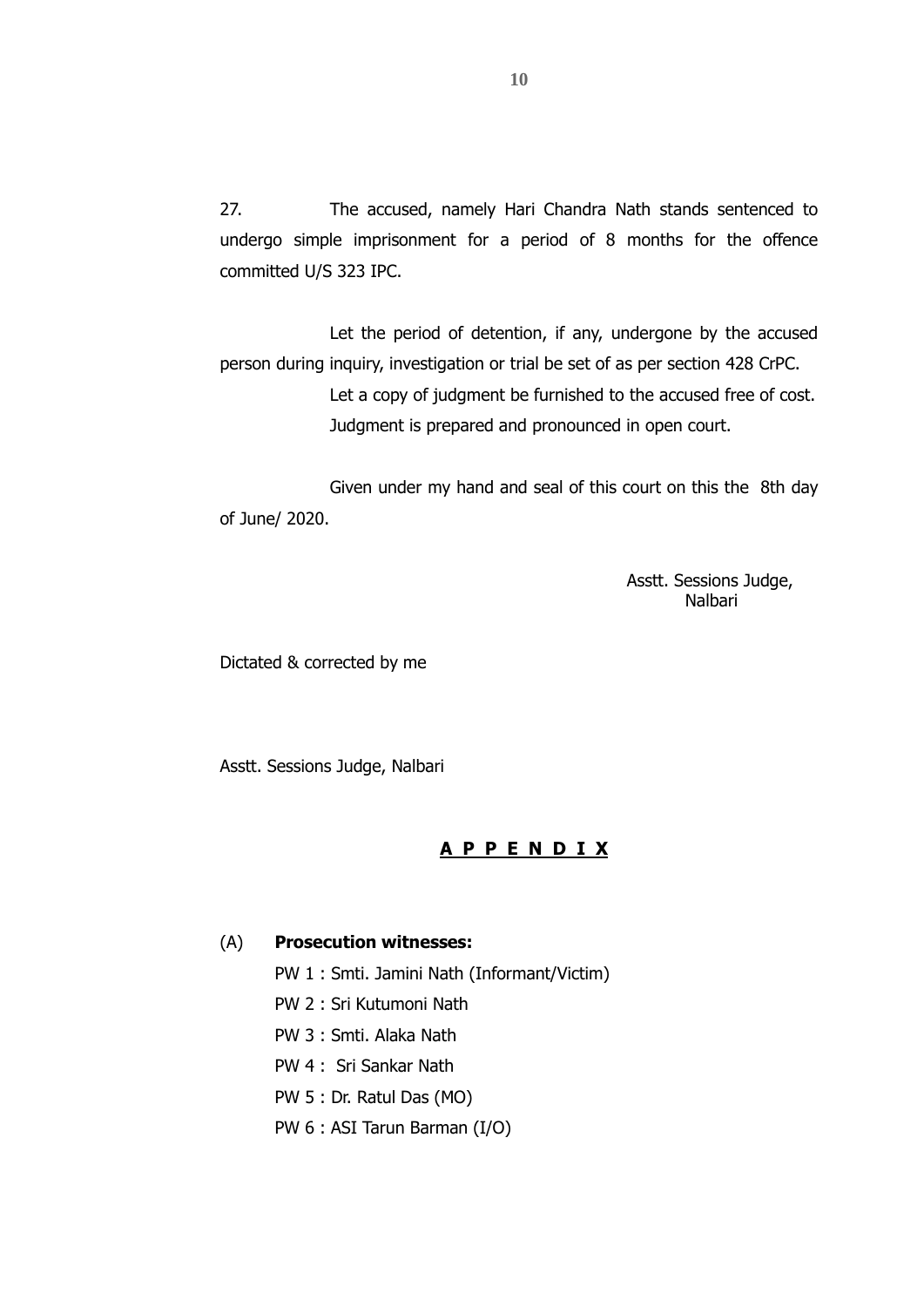27. The accused, namely Hari Chandra Nath stands sentenced to undergo simple imprisonment for a period of 8 months for the offence committed U/S 323 IPC.

Let the period of detention, if any, undergone by the accused person during inquiry, investigation or trial be set of as per section 428 CrPC. Let a copy of judgment be furnished to the accused free of cost. Judgment is prepared and pronounced in open court.

Given under my hand and seal of this court on this the 8th day of June/ 2020.

> Asstt. Sessions Judge, Nalbari

Dictated & corrected by me

Asstt. Sessions Judge, Nalbari

## **A P P E N D I X**

#### (A) **Prosecution witnesses:**

PW 1 : Smti. Jamini Nath (Informant/Victim)

- PW 2 : Sri Kutumoni Nath
- PW 3 : Smti. Alaka Nath
- PW 4 : Sri Sankar Nath
- PW 5 : Dr. Ratul Das (MO)
- PW 6 : ASI Tarun Barman (I/O)